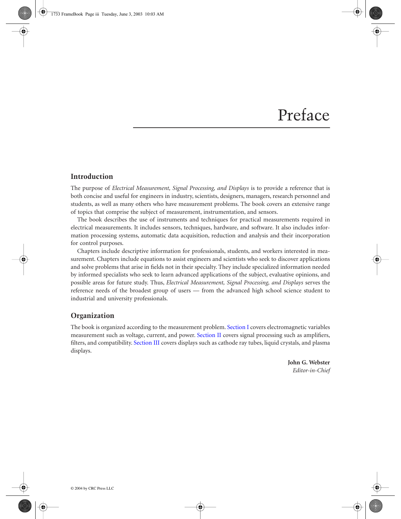## Preface

## **Introduction**

The purpose of *Electrical Measurement, Signal Processing, and Displays* is to provide a reference that is both concise and useful for engineers in industry, scientists, designers, managers, research personnel and students, as well as many others who have measurement problems. The book covers an extensive range of topics that comprise the subject of measurement, instrumentation, and sensors.

The book describes the use of instruments and techniques for practical measurements required in electrical measurements. It includes sensors, techniques, hardware, and software. It also includes information processing systems, automatic data acquisition, reduction and analysis and their incorporation for control purposes.

Chapters include descriptive information for professionals, students, and workers interested in measurement. Chapters include equations to assist engineers and scientists who seek to discover applications and solve problems that arise in fields not in their specialty. They include specialized information needed by informed specialists who seek to learn advanced applications of the subject, evaluative opinions, and possible areas for future study. Thus, *Electrical Measurement, Signal Processing, and Displays* serves the reference needs of the broadest group of users — from the advanced high school science student to industrial and university professionals.

## **Organization**

displays. The book is organized according to the measurement problem. Section I covers electromagnetic variables measurement such as voltage, current, and power. Section II covers signal processing such as amplifiers, filters, and compatibility. Section III covers displays such as cathode ray tubes, liquid crystals, and plasma

> **John G. Webster** *Editor-in-Chief*